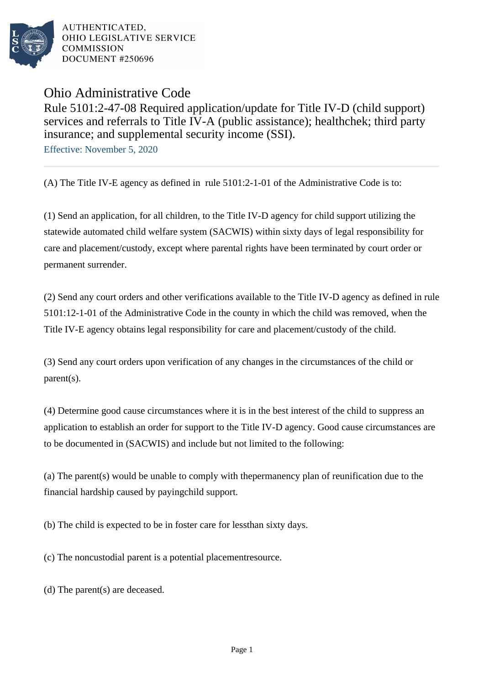

AUTHENTICATED. OHIO LEGISLATIVE SERVICE **COMMISSION** DOCUMENT #250696

Ohio Administrative Code

Rule 5101:2-47-08 Required application/update for Title IV-D (child support) services and referrals to Title IV-A (public assistance); healthchek; third party insurance; and supplemental security income (SSI).

Effective: November 5, 2020

(A) The Title IV-E agency as defined in rule 5101:2-1-01 of the Administrative Code is to:

(1) Send an application, for all children, to the Title IV-D agency for child support utilizing the statewide automated child welfare system (SACWIS) within sixty days of legal responsibility for care and placement/custody, except where parental rights have been terminated by court order or permanent surrender.

(2) Send any court orders and other verifications available to the Title IV-D agency as defined in rule  $5101:12-1-01$  of the Administrative Code in the county in which the child was removed, when the Title IV-E agency obtains legal responsibility for care and placement/custody of the child.

(3) Send any court orders upon verification of any changes in the circumstances of the child or parent(s).

(4) Determine good cause circumstances where it is in the best interest of the child to suppress an application to establish an order for support to the Title IV-D agency. Good cause circumstances are to be documented in (SACWIS) and include but not limited to the following:

(a) The parent (s) would be unable to comply with the permanency plan of reunification due to the financial hardship caused by paying child support.

(b) The child is expected to be in foster care for less than sixty days.

(c) The noncustodial parent is a potential placement resource.

(d) The parent(s) are deceased.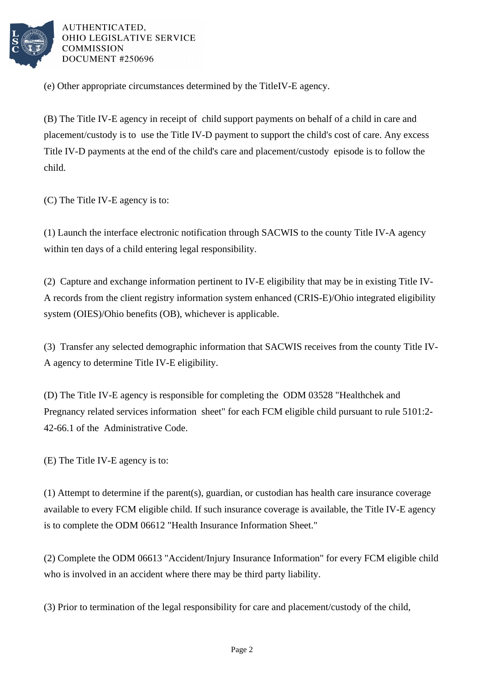

AUTHENTICATED. OHIO LEGISLATIVE SERVICE **COMMISSION** DOCUMENT #250696

(e) Other appropriate circumstances determined by the Title IV-E agency.

(B) The Title IV-E agency in receipt of child support payments on behalf of a child in care and placement/custody is to use the Title IV-D payment to support the child's cost of care. Any excess Title IV-D payments at the end of the child's care and placement/custody episode is to follow the child.

(C) The Title IV-E agency is to:

(1) Launch the interface electronic notification through SACWIS to the county Title IV-A agency within ten days of a child entering legal responsibility.

(2) Capture and exchange information pertinent to IV-E eligibility that may be in existing Title IV-A records from the client registry information system enhanced (CRIS-E)/Ohio integrated eligibility system (OIES)/Ohio benefits (OB), whichever is applicable.

(3) Transfer any selected demographic information that SACWIS receives from the county Title IV-A agency to determine Title IV-E eligibility.

(D) The Title IV-E agency is responsible for completing the ODM 03528 "Healthchek and Pregnancy related services information sheet" for each FCM eligible child pursuant to rule 5101:2- 42-66.1 of the Administrative Code.

(E) The Title IV-E agency is to:

 $(1)$  Attempt to determine if the parent $(s)$ , guardian, or custodian has health care insurance coverage available to every FCM eligible child. If such insurance coverage is available, the Title IV-E agency is to complete the ODM 06612 "Health Insurance Information Sheet."

(2) Complete the ODM 06613 "Accident/Injury Insurance Information" for every FCM eligible child who is involved in an accident where there may be third party liability.

(3) Prior to termination of the legal responsibility for care and placement/custody of the child,